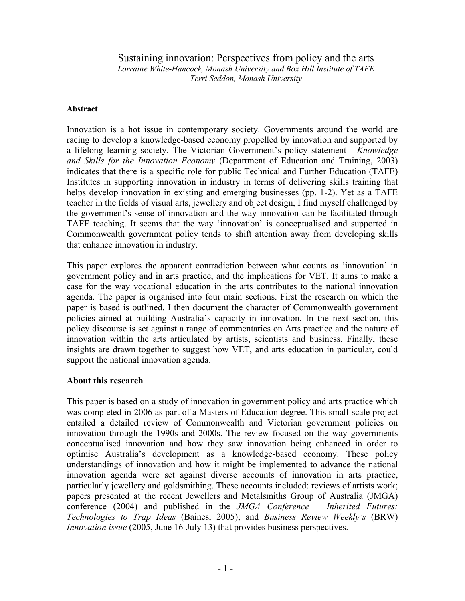# Sustaining innovation: Perspectives from policy and the arts

*Lorraine White-Hancock, Monash University and Box Hill Institute of TAFE Terri Seddon, Monash University* 

#### **Abstract**

Innovation is a hot issue in contemporary society. Governments around the world are racing to develop a knowledge-based economy propelled by innovation and supported by a lifelong learning society. The Victorian Government's policy statement - *Knowledge and Skills for the Innovation Economy* (Department of Education and Training, 2003) indicates that there is a specific role for public Technical and Further Education (TAFE) Institutes in supporting innovation in industry in terms of delivering skills training that helps develop innovation in existing and emerging businesses (pp. 1-2). Yet as a TAFE teacher in the fields of visual arts, jewellery and object design, I find myself challenged by the government's sense of innovation and the way innovation can be facilitated through TAFE teaching. It seems that the way 'innovation' is conceptualised and supported in Commonwealth government policy tends to shift attention away from developing skills that enhance innovation in industry.

This paper explores the apparent contradiction between what counts as 'innovation' in government policy and in arts practice, and the implications for VET. It aims to make a case for the way vocational education in the arts contributes to the national innovation agenda. The paper is organised into four main sections. First the research on which the paper is based is outlined. I then document the character of Commonwealth government policies aimed at building Australia's capacity in innovation. In the next section, this policy discourse is set against a range of commentaries on Arts practice and the nature of innovation within the arts articulated by artists, scientists and business. Finally, these insights are drawn together to suggest how VET, and arts education in particular, could support the national innovation agenda.

### **About this research**

This paper is based on a study of innovation in government policy and arts practice which was completed in 2006 as part of a Masters of Education degree. This small-scale project entailed a detailed review of Commonwealth and Victorian government policies on innovation through the 1990s and 2000s. The review focused on the way governments conceptualised innovation and how they saw innovation being enhanced in order to optimise Australia's development as a knowledge-based economy. These policy understandings of innovation and how it might be implemented to advance the national innovation agenda were set against diverse accounts of innovation in arts practice, particularly jewellery and goldsmithing. These accounts included: reviews of artists work; papers presented at the recent Jewellers and Metalsmiths Group of Australia (JMGA) conference (2004) and published in the *JMGA Conference – Inherited Futures: Technologies to Trap Ideas* (Baines, 2005); and *Business Review Weekly's* (BRW) *Innovation issue* (2005, June 16-July 13) that provides business perspectives.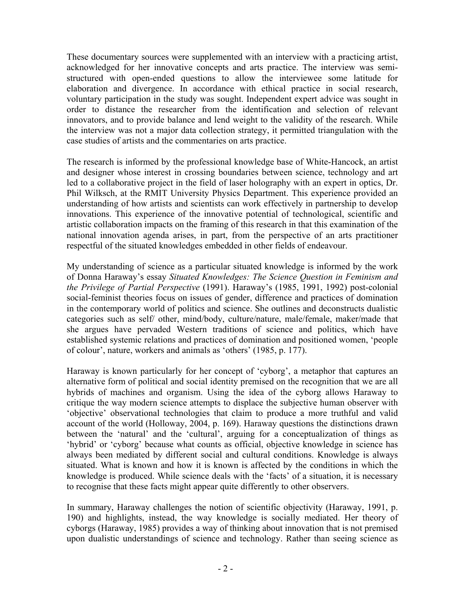These documentary sources were supplemented with an interview with a practicing artist, acknowledged for her innovative concepts and arts practice. The interview was semistructured with open-ended questions to allow the interviewee some latitude for elaboration and divergence. In accordance with ethical practice in social research, voluntary participation in the study was sought. Independent expert advice was sought in order to distance the researcher from the identification and selection of relevant innovators, and to provide balance and lend weight to the validity of the research. While the interview was not a major data collection strategy, it permitted triangulation with the case studies of artists and the commentaries on arts practice.

The research is informed by the professional knowledge base of White-Hancock, an artist and designer whose interest in crossing boundaries between science, technology and art led to a collaborative project in the field of laser holography with an expert in optics, Dr. Phil Wilksch, at the RMIT University Physics Department. This experience provided an understanding of how artists and scientists can work effectively in partnership to develop innovations. This experience of the innovative potential of technological, scientific and artistic collaboration impacts on the framing of this research in that this examination of the national innovation agenda arises, in part, from the perspective of an arts practitioner respectful of the situated knowledges embedded in other fields of endeavour.

My understanding of science as a particular situated knowledge is informed by the work of Donna Haraway's essay *Situated Knowledges: The Science Question in Feminism and the Privilege of Partial Perspective* (1991). Haraway's (1985, 1991, 1992) post-colonial social-feminist theories focus on issues of gender, difference and practices of domination in the contemporary world of politics and science. She outlines and deconstructs dualistic categories such as self/ other, mind/body, culture/nature, male/female, maker/made that she argues have pervaded Western traditions of science and politics, which have established systemic relations and practices of domination and positioned women, 'people of colour', nature, workers and animals as 'others' (1985, p. 177).

Haraway is known particularly for her concept of 'cyborg', a metaphor that captures an alternative form of political and social identity premised on the recognition that we are all hybrids of machines and organism. Using the idea of the cyborg allows Haraway to critique the way modern science attempts to displace the subjective human observer with 'objective' observational technologies that claim to produce a more truthful and valid account of the world (Holloway, 2004, p. 169). Haraway questions the distinctions drawn between the 'natural' and the 'cultural', arguing for a conceptualization of things as 'hybrid' or 'cyborg' because what counts as official, objective knowledge in science has always been mediated by different social and cultural conditions. Knowledge is always situated. What is known and how it is known is affected by the conditions in which the knowledge is produced. While science deals with the 'facts' of a situation, it is necessary to recognise that these facts might appear quite differently to other observers.

In summary, Haraway challenges the notion of scientific objectivity (Haraway, 1991, p. 190) and highlights, instead, the way knowledge is socially mediated. Her theory of cyborgs (Haraway, 1985) provides a way of thinking about innovation that is not premised upon dualistic understandings of science and technology. Rather than seeing science as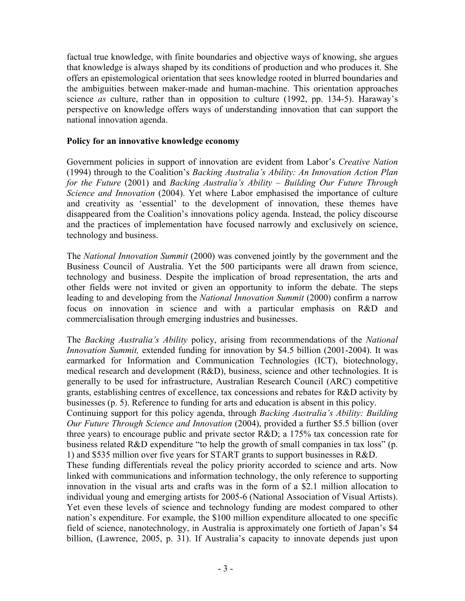factual true knowledge, with finite boundaries and objective ways of knowing, she argues that knowledge is always shaped by its conditions of production and who produces it. She offers an epistemological orientation that sees knowledge rooted in blurred boundaries and the ambiguities between maker-made and human-machine. This orientation approaches science *as* culture, rather than in opposition to culture (1992, pp. 134-5). Haraway's perspective on knowledge offers ways of understanding innovation that can support the national innovation agenda.

## **Policy for an innovative knowledge economy**

Government policies in support of innovation are evident from Labor's *Creative Nation* (1994) through to the Coalition's *Backing Australia's Ability: An Innovation Action Plan for the Future* (2001) and *Backing Australia's Ability – Building Our Future Through Science and Innovation* (2004). Yet where Labor emphasised the importance of culture and creativity as 'essential' to the development of innovation, these themes have disappeared from the Coalition's innovations policy agenda. Instead, the policy discourse and the practices of implementation have focused narrowly and exclusively on science, technology and business.

The *National Innovation Summit* (2000) was convened jointly by the government and the Business Council of Australia. Yet the 500 participants were all drawn from science, technology and business. Despite the implication of broad representation, the arts and other fields were not invited or given an opportunity to inform the debate. The steps leading to and developing from the *National Innovation Summit* (2000) confirm a narrow focus on innovation in science and with a particular emphasis on R&D and commercialisation through emerging industries and businesses.

The *Backing Australia's Ability* policy, arising from recommendations of the *National Innovation Summit,* extended funding for innovation by \$4.5 billion (2001-2004). It was earmarked for Information and Communication Technologies (ICT), biotechnology, medical research and development (R&D), business, science and other technologies. It is generally to be used for infrastructure, Australian Research Council (ARC) competitive grants, establishing centres of excellence, tax concessions and rebates for R&D activity by businesses (p. 5). Reference to funding for arts and education is absent in this policy.

Continuing support for this policy agenda, through *Backing Australia's Ability: Building Our Future Through Science and Innovation* (2004), provided a further \$5.5 billion (over three years) to encourage public and private sector R&D; a 175% tax concession rate for business related R&D expenditure "to help the growth of small companies in tax loss" (p. 1) and \$535 million over five years for START grants to support businesses in R&D.

These funding differentials reveal the policy priority accorded to science and arts. Now linked with communications and information technology, the only reference to supporting innovation in the visual arts and crafts was in the form of a \$2.1 million allocation to individual young and emerging artists for 2005-6 (National Association of Visual Artists). Yet even these levels of science and technology funding are modest compared to other nation's expenditure. For example, the \$100 million expenditure allocated to one specific field of science, nanotechnology, in Australia is approximately one fortieth of Japan's \$4 billion, (Lawrence, 2005, p. 31). If Australia's capacity to innovate depends just upon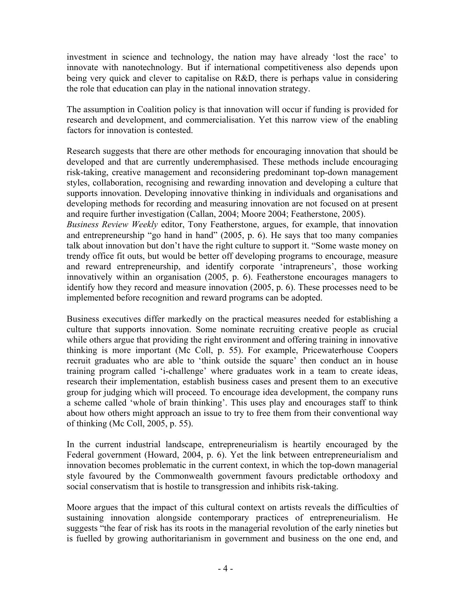investment in science and technology, the nation may have already 'lost the race' to innovate with nanotechnology. But if international competitiveness also depends upon being very quick and clever to capitalise on R&D, there is perhaps value in considering the role that education can play in the national innovation strategy.

The assumption in Coalition policy is that innovation will occur if funding is provided for research and development, and commercialisation. Yet this narrow view of the enabling factors for innovation is contested.

Research suggests that there are other methods for encouraging innovation that should be developed and that are currently underemphasised. These methods include encouraging risk-taking, creative management and reconsidering predominant top-down management styles, collaboration, recognising and rewarding innovation and developing a culture that supports innovation. Developing innovative thinking in individuals and organisations and developing methods for recording and measuring innovation are not focused on at present and require further investigation (Callan, 2004; Moore 2004; Featherstone, 2005).

*Business Review Weekly* editor, Tony Featherstone, argues, for example, that innovation and entrepreneurship "go hand in hand" (2005, p. 6). He says that too many companies talk about innovation but don't have the right culture to support it. "Some waste money on trendy office fit outs, but would be better off developing programs to encourage, measure and reward entrepreneurship, and identify corporate 'intrapreneurs', those working innovatively within an organisation (2005, p. 6). Featherstone encourages managers to identify how they record and measure innovation (2005, p. 6). These processes need to be implemented before recognition and reward programs can be adopted.

Business executives differ markedly on the practical measures needed for establishing a culture that supports innovation. Some nominate recruiting creative people as crucial while others argue that providing the right environment and offering training in innovative thinking is more important (Mc Coll, p. 55). For example, Pricewaterhouse Coopers recruit graduates who are able to 'think outside the square' then conduct an in house training program called 'i-challenge' where graduates work in a team to create ideas, research their implementation, establish business cases and present them to an executive group for judging which will proceed. To encourage idea development, the company runs a scheme called 'whole of brain thinking'. This uses play and encourages staff to think about how others might approach an issue to try to free them from their conventional way of thinking (Mc Coll, 2005, p. 55).

In the current industrial landscape, entrepreneurialism is heartily encouraged by the Federal government (Howard, 2004, p. 6). Yet the link between entrepreneurialism and innovation becomes problematic in the current context, in which the top-down managerial style favoured by the Commonwealth government favours predictable orthodoxy and social conservatism that is hostile to transgression and inhibits risk-taking.

Moore argues that the impact of this cultural context on artists reveals the difficulties of sustaining innovation alongside contemporary practices of entrepreneurialism. He suggests "the fear of risk has its roots in the managerial revolution of the early nineties but is fuelled by growing authoritarianism in government and business on the one end, and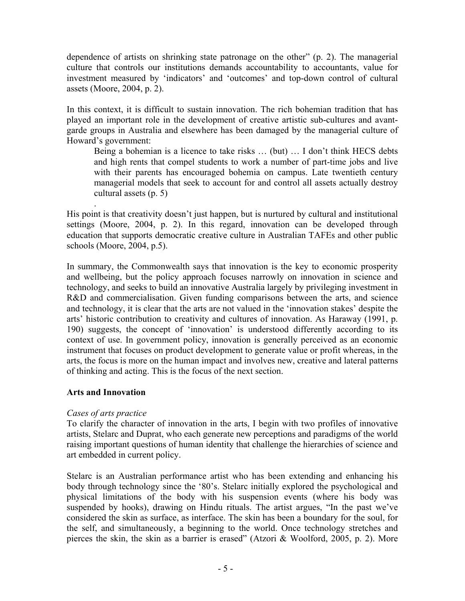dependence of artists on shrinking state patronage on the other" (p. 2). The managerial culture that controls our institutions demands accountability to accountants, value for investment measured by 'indicators' and 'outcomes' and top-down control of cultural assets (Moore, 2004, p. 2).

In this context, it is difficult to sustain innovation. The rich bohemian tradition that has played an important role in the development of creative artistic sub-cultures and avantgarde groups in Australia and elsewhere has been damaged by the managerial culture of Howard's government:

Being a bohemian is a licence to take risks … (but) … I don't think HECS debts and high rents that compel students to work a number of part-time jobs and live with their parents has encouraged bohemia on campus. Late twentieth century managerial models that seek to account for and control all assets actually destroy cultural assets (p. 5)

. His point is that creativity doesn't just happen, but is nurtured by cultural and institutional settings (Moore, 2004, p. 2). In this regard, innovation can be developed through education that supports democratic creative culture in Australian TAFEs and other public schools (Moore, 2004, p.5).

In summary, the Commonwealth says that innovation is the key to economic prosperity and wellbeing, but the policy approach focuses narrowly on innovation in science and technology, and seeks to build an innovative Australia largely by privileging investment in R&D and commercialisation. Given funding comparisons between the arts, and science and technology, it is clear that the arts are not valued in the 'innovation stakes' despite the arts' historic contribution to creativity and cultures of innovation. As Haraway (1991, p. 190) suggests, the concept of 'innovation' is understood differently according to its context of use. In government policy, innovation is generally perceived as an economic instrument that focuses on product development to generate value or profit whereas, in the arts, the focus is more on the human impact and involves new, creative and lateral patterns of thinking and acting. This is the focus of the next section.

# **Arts and Innovation**

# *Cases of arts practice*

To clarify the character of innovation in the arts, I begin with two profiles of innovative artists, Stelarc and Duprat, who each generate new perceptions and paradigms of the world raising important questions of human identity that challenge the hierarchies of science and art embedded in current policy.

Stelarc is an Australian performance artist who has been extending and enhancing his body through technology since the '80's. Stelarc initially explored the psychological and physical limitations of the body with his suspension events (where his body was suspended by hooks), drawing on Hindu rituals. The artist argues, "In the past we've considered the skin as surface, as interface. The skin has been a boundary for the soul, for the self, and simultaneously, a beginning to the world. Once technology stretches and pierces the skin, the skin as a barrier is erased" (Atzori & Woolford, 2005, p. 2). More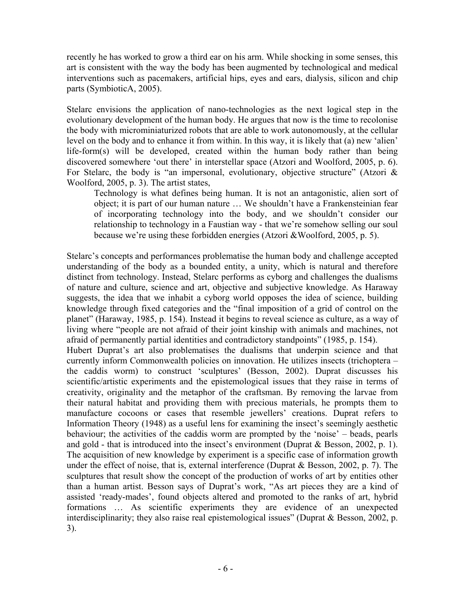recently he has worked to grow a third ear on his arm. While shocking in some senses, this art is consistent with the way the body has been augmented by technological and medical interventions such as pacemakers, artificial hips, eyes and ears, dialysis, silicon and chip parts (SymbioticA, 2005).

Stelarc envisions the application of nano-technologies as the next logical step in the evolutionary development of the human body. He argues that now is the time to recolonise the body with microminiaturized robots that are able to work autonomously, at the cellular level on the body and to enhance it from within. In this way, it is likely that (a) new 'alien' life-form(s) will be developed, created within the human body rather than being discovered somewhere 'out there' in interstellar space (Atzori and Woolford, 2005, p. 6). For Stelarc, the body is "an impersonal, evolutionary, objective structure" (Atzori  $\&$ Woolford, 2005, p. 3). The artist states,

Technology is what defines being human. It is not an antagonistic, alien sort of object; it is part of our human nature … We shouldn't have a Frankensteinian fear of incorporating technology into the body, and we shouldn't consider our relationship to technology in a Faustian way - that we're somehow selling our soul because we're using these forbidden energies (Atzori &Woolford, 2005, p. 5).

Stelarc's concepts and performances problematise the human body and challenge accepted understanding of the body as a bounded entity, a unity, which is natural and therefore distinct from technology. Instead, Stelarc performs as cyborg and challenges the dualisms of nature and culture, science and art, objective and subjective knowledge. As Haraway suggests, the idea that we inhabit a cyborg world opposes the idea of science, building knowledge through fixed categories and the "final imposition of a grid of control on the planet" (Haraway, 1985, p. 154). Instead it begins to reveal science as culture, as a way of living where "people are not afraid of their joint kinship with animals and machines, not afraid of permanently partial identities and contradictory standpoints" (1985, p. 154). Hubert Duprat's art also problematises the dualisms that underpin science and that currently inform Commonwealth policies on innovation. He utilizes insects (trichoptera – the caddis worm) to construct 'sculptures' (Besson, 2002). Duprat discusses his scientific/artistic experiments and the epistemological issues that they raise in terms of creativity, originality and the metaphor of the craftsman. By removing the larvae from their natural habitat and providing them with precious materials, he prompts them to manufacture cocoons or cases that resemble jewellers' creations. Duprat refers to Information Theory (1948) as a useful lens for examining the insect's seemingly aesthetic behaviour; the activities of the caddis worm are prompted by the 'noise' – beads, pearls and gold - that is introduced into the insect's environment (Duprat & Besson, 2002, p. 1). The acquisition of new knowledge by experiment is a specific case of information growth under the effect of noise, that is, external interference (Duprat & Besson, 2002, p. 7). The sculptures that result show the concept of the production of works of art by entities other than a human artist. Besson says of Duprat's work, "As art pieces they are a kind of assisted 'ready-mades', found objects altered and promoted to the ranks of art, hybrid formations … As scientific experiments they are evidence of an unexpected interdisciplinarity; they also raise real epistemological issues" (Duprat & Besson, 2002, p. 3).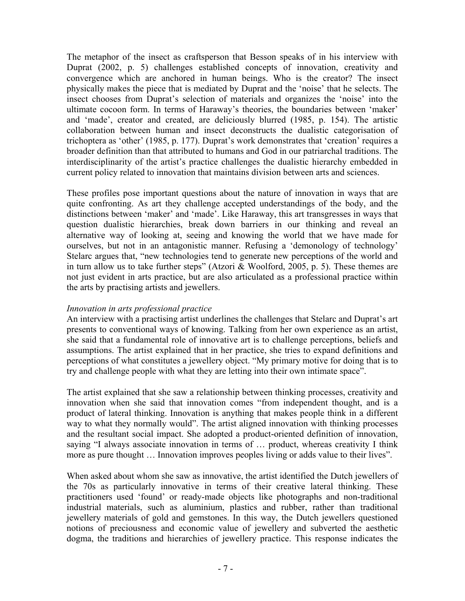The metaphor of the insect as craftsperson that Besson speaks of in his interview with Duprat (2002, p. 5) challenges established concepts of innovation, creativity and convergence which are anchored in human beings. Who is the creator? The insect physically makes the piece that is mediated by Duprat and the 'noise' that he selects. The insect chooses from Duprat's selection of materials and organizes the 'noise' into the ultimate cocoon form. In terms of Haraway's theories, the boundaries between 'maker' and 'made', creator and created, are deliciously blurred (1985, p. 154). The artistic collaboration between human and insect deconstructs the dualistic categorisation of trichoptera as 'other' (1985, p. 177). Duprat's work demonstrates that 'creation' requires a broader definition than that attributed to humans and God in our patriarchal traditions. The interdisciplinarity of the artist's practice challenges the dualistic hierarchy embedded in current policy related to innovation that maintains division between arts and sciences.

These profiles pose important questions about the nature of innovation in ways that are quite confronting. As art they challenge accepted understandings of the body, and the distinctions between 'maker' and 'made'. Like Haraway, this art transgresses in ways that question dualistic hierarchies, break down barriers in our thinking and reveal an alternative way of looking at, seeing and knowing the world that we have made for ourselves, but not in an antagonistic manner. Refusing a 'demonology of technology' Stelarc argues that, "new technologies tend to generate new perceptions of the world and in turn allow us to take further steps" (Atzori & Woolford, 2005, p. 5). These themes are not just evident in arts practice, but are also articulated as a professional practice within the arts by practising artists and jewellers.

### *Innovation in arts professional practice*

An interview with a practising artist underlines the challenges that Stelarc and Duprat's art presents to conventional ways of knowing. Talking from her own experience as an artist, she said that a fundamental role of innovative art is to challenge perceptions, beliefs and assumptions. The artist explained that in her practice, she tries to expand definitions and perceptions of what constitutes a jewellery object. "My primary motive for doing that is to try and challenge people with what they are letting into their own intimate space".

The artist explained that she saw a relationship between thinking processes, creativity and innovation when she said that innovation comes "from independent thought, and is a product of lateral thinking. Innovation is anything that makes people think in a different way to what they normally would". The artist aligned innovation with thinking processes and the resultant social impact. She adopted a product-oriented definition of innovation, saying "I always associate innovation in terms of … product, whereas creativity I think more as pure thought … Innovation improves peoples living or adds value to their lives".

When asked about whom she saw as innovative, the artist identified the Dutch jewellers of the 70s as particularly innovative in terms of their creative lateral thinking. These practitioners used 'found' or ready-made objects like photographs and non-traditional industrial materials, such as aluminium, plastics and rubber, rather than traditional jewellery materials of gold and gemstones. In this way, the Dutch jewellers questioned notions of preciousness and economic value of jewellery and subverted the aesthetic dogma, the traditions and hierarchies of jewellery practice. This response indicates the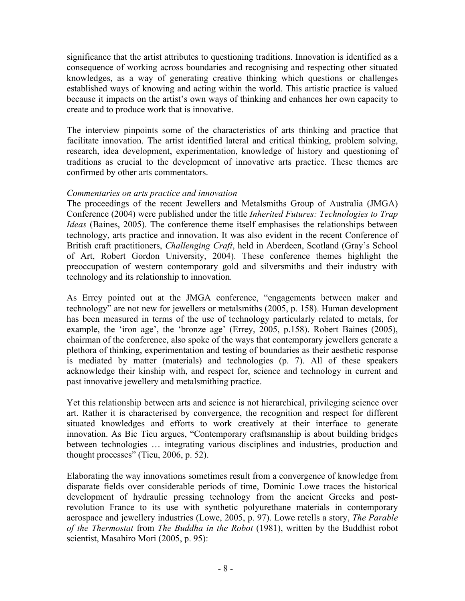significance that the artist attributes to questioning traditions. Innovation is identified as a consequence of working across boundaries and recognising and respecting other situated knowledges, as a way of generating creative thinking which questions or challenges established ways of knowing and acting within the world. This artistic practice is valued because it impacts on the artist's own ways of thinking and enhances her own capacity to create and to produce work that is innovative.

The interview pinpoints some of the characteristics of arts thinking and practice that facilitate innovation. The artist identified lateral and critical thinking, problem solving, research, idea development, experimentation, knowledge of history and questioning of traditions as crucial to the development of innovative arts practice. These themes are confirmed by other arts commentators.

### *Commentaries on arts practice and innovation*

The proceedings of the recent Jewellers and Metalsmiths Group of Australia (JMGA) Conference (2004) were published under the title *Inherited Futures: Technologies to Trap Ideas* (Baines, 2005). The conference theme itself emphasises the relationships between technology, arts practice and innovation. It was also evident in the recent Conference of British craft practitioners, *Challenging Craft*, held in Aberdeen, Scotland (Gray's School of Art, Robert Gordon University, 2004). These conference themes highlight the preoccupation of western contemporary gold and silversmiths and their industry with technology and its relationship to innovation.

As Errey pointed out at the JMGA conference, "engagements between maker and technology" are not new for jewellers or metalsmiths (2005, p. 158). Human development has been measured in terms of the use of technology particularly related to metals, for example, the 'iron age', the 'bronze age' (Errey, 2005, p.158). Robert Baines (2005), chairman of the conference, also spoke of the ways that contemporary jewellers generate a plethora of thinking, experimentation and testing of boundaries as their aesthetic response is mediated by matter (materials) and technologies (p. 7). All of these speakers acknowledge their kinship with, and respect for, science and technology in current and past innovative jewellery and metalsmithing practice.

Yet this relationship between arts and science is not hierarchical, privileging science over art. Rather it is characterised by convergence, the recognition and respect for different situated knowledges and efforts to work creatively at their interface to generate innovation. As Bic Tieu argues, "Contemporary craftsmanship is about building bridges between technologies … integrating various disciplines and industries, production and thought processes" (Tieu, 2006, p. 52).

Elaborating the way innovations sometimes result from a convergence of knowledge from disparate fields over considerable periods of time, Dominic Lowe traces the historical development of hydraulic pressing technology from the ancient Greeks and postrevolution France to its use with synthetic polyurethane materials in contemporary aerospace and jewellery industries (Lowe, 2005, p. 97). Lowe retells a story, *The Parable of the Thermostat* from *The Buddha in the Robot* (1981), written by the Buddhist robot scientist, Masahiro Mori (2005, p. 95):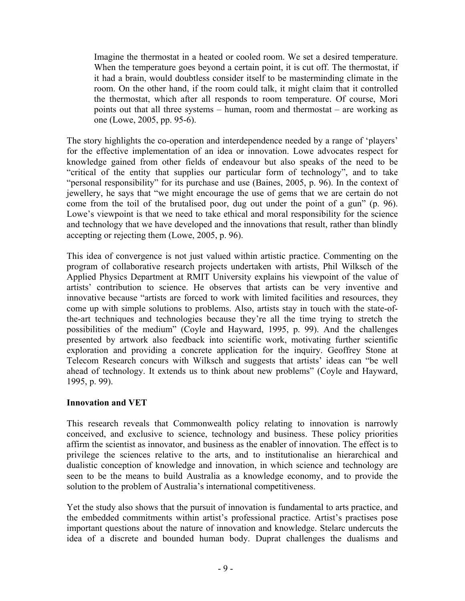Imagine the thermostat in a heated or cooled room. We set a desired temperature. When the temperature goes beyond a certain point, it is cut off. The thermostat, if it had a brain, would doubtless consider itself to be masterminding climate in the room. On the other hand, if the room could talk, it might claim that it controlled the thermostat, which after all responds to room temperature. Of course, Mori points out that all three systems – human, room and thermostat – are working as one (Lowe, 2005, pp. 95-6).

The story highlights the co-operation and interdependence needed by a range of 'players' for the effective implementation of an idea or innovation. Lowe advocates respect for knowledge gained from other fields of endeavour but also speaks of the need to be "critical of the entity that supplies our particular form of technology", and to take "personal responsibility" for its purchase and use (Baines, 2005, p. 96). In the context of jewellery, he says that "we might encourage the use of gems that we are certain do not come from the toil of the brutalised poor, dug out under the point of a gun" (p. 96). Lowe's viewpoint is that we need to take ethical and moral responsibility for the science and technology that we have developed and the innovations that result, rather than blindly accepting or rejecting them (Lowe, 2005, p. 96).

This idea of convergence is not just valued within artistic practice. Commenting on the program of collaborative research projects undertaken with artists, Phil Wilksch of the Applied Physics Department at RMIT University explains his viewpoint of the value of artists' contribution to science. He observes that artists can be very inventive and innovative because "artists are forced to work with limited facilities and resources, they come up with simple solutions to problems. Also, artists stay in touch with the state-ofthe-art techniques and technologies because they're all the time trying to stretch the possibilities of the medium" (Coyle and Hayward, 1995, p. 99). And the challenges presented by artwork also feedback into scientific work, motivating further scientific exploration and providing a concrete application for the inquiry. Geoffrey Stone at Telecom Research concurs with Wilksch and suggests that artists' ideas can "be well ahead of technology. It extends us to think about new problems" (Coyle and Hayward, 1995, p. 99).

# **Innovation and VET**

This research reveals that Commonwealth policy relating to innovation is narrowly conceived, and exclusive to science, technology and business. These policy priorities affirm the scientist as innovator, and business as the enabler of innovation. The effect is to privilege the sciences relative to the arts, and to institutionalise an hierarchical and dualistic conception of knowledge and innovation, in which science and technology are seen to be the means to build Australia as a knowledge economy, and to provide the solution to the problem of Australia's international competitiveness.

Yet the study also shows that the pursuit of innovation is fundamental to arts practice, and the embedded commitments within artist's professional practice. Artist's practises pose important questions about the nature of innovation and knowledge. Stelarc undercuts the idea of a discrete and bounded human body. Duprat challenges the dualisms and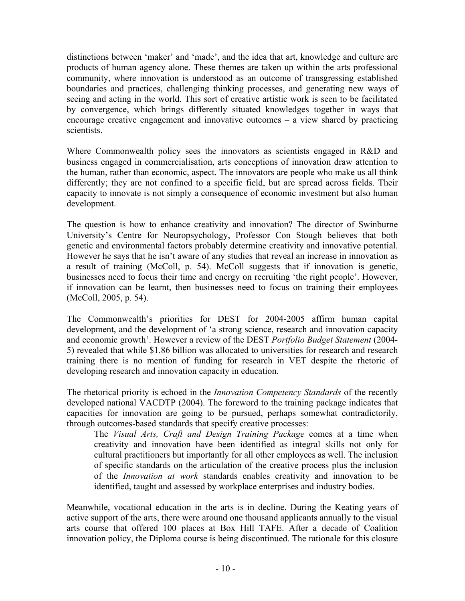distinctions between 'maker' and 'made', and the idea that art, knowledge and culture are products of human agency alone. These themes are taken up within the arts professional community, where innovation is understood as an outcome of transgressing established boundaries and practices, challenging thinking processes, and generating new ways of seeing and acting in the world. This sort of creative artistic work is seen to be facilitated by convergence, which brings differently situated knowledges together in ways that encourage creative engagement and innovative outcomes – a view shared by practicing scientists.

Where Commonwealth policy sees the innovators as scientists engaged in R&D and business engaged in commercialisation, arts conceptions of innovation draw attention to the human, rather than economic, aspect. The innovators are people who make us all think differently; they are not confined to a specific field, but are spread across fields. Their capacity to innovate is not simply a consequence of economic investment but also human development.

The question is how to enhance creativity and innovation? The director of Swinburne University's Centre for Neuropsychology, Professor Con Stough believes that both genetic and environmental factors probably determine creativity and innovative potential. However he says that he isn't aware of any studies that reveal an increase in innovation as a result of training (McColl, p. 54). McColl suggests that if innovation is genetic, businesses need to focus their time and energy on recruiting 'the right people'. However, if innovation can be learnt, then businesses need to focus on training their employees (McColl, 2005, p. 54).

The Commonwealth's priorities for DEST for 2004-2005 affirm human capital development, and the development of 'a strong science, research and innovation capacity and economic growth'. However a review of the DEST *Portfolio Budget Statement* (2004- 5) revealed that while \$1.86 billion was allocated to universities for research and research training there is no mention of funding for research in VET despite the rhetoric of developing research and innovation capacity in education.

The rhetorical priority is echoed in the *Innovation Competency Standards* of the recently developed national VACDTP (2004). The foreword to the training package indicates that capacities for innovation are going to be pursued, perhaps somewhat contradictorily, through outcomes-based standards that specify creative processes:

The *Visual Arts, Craft and Design Training Package* comes at a time when creativity and innovation have been identified as integral skills not only for cultural practitioners but importantly for all other employees as well. The inclusion of specific standards on the articulation of the creative process plus the inclusion of the *Innovation at work* standards enables creativity and innovation to be identified, taught and assessed by workplace enterprises and industry bodies.

Meanwhile, vocational education in the arts is in decline. During the Keating years of active support of the arts, there were around one thousand applicants annually to the visual arts course that offered 100 places at Box Hill TAFE. After a decade of Coalition innovation policy, the Diploma course is being discontinued. The rationale for this closure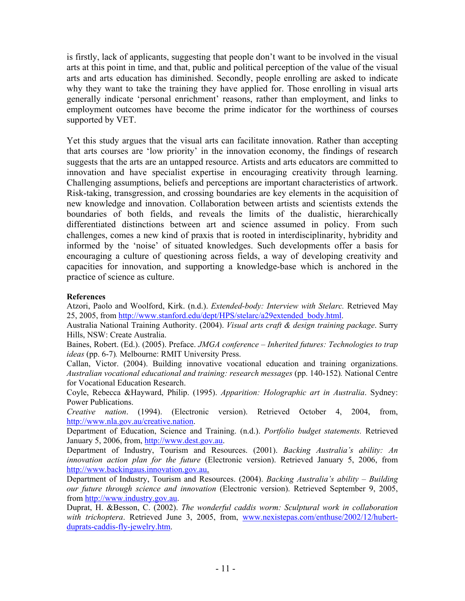is firstly, lack of applicants, suggesting that people don't want to be involved in the visual arts at this point in time, and that, public and political perception of the value of the visual arts and arts education has diminished. Secondly, people enrolling are asked to indicate why they want to take the training they have applied for. Those enrolling in visual arts generally indicate 'personal enrichment' reasons, rather than employment, and links to employment outcomes have become the prime indicator for the worthiness of courses supported by VET.

Yet this study argues that the visual arts can facilitate innovation. Rather than accepting that arts courses are 'low priority' in the innovation economy, the findings of research suggests that the arts are an untapped resource. Artists and arts educators are committed to innovation and have specialist expertise in encouraging creativity through learning. Challenging assumptions, beliefs and perceptions are important characteristics of artwork. Risk-taking, transgression, and crossing boundaries are key elements in the acquisition of new knowledge and innovation. Collaboration between artists and scientists extends the boundaries of both fields, and reveals the limits of the dualistic, hierarchically differentiated distinctions between art and science assumed in policy. From such challenges, comes a new kind of praxis that is rooted in interdisciplinarity, hybridity and informed by the 'noise' of situated knowledges. Such developments offer a basis for encouraging a culture of questioning across fields, a way of developing creativity and capacities for innovation, and supporting a knowledge-base which is anchored in the practice of science as culture.

### **References**

Atzori, Paolo and Woolford, Kirk. (n.d.). *Extended-body: Interview with Stelarc.* Retrieved May 25, 2005, from http://www.stanford.edu/dept/HPS/stelarc/a29extended\_body.html.

Australia National Training Authority. (2004). *Visual arts craft & design training package*. Surry Hills, NSW: Create Australia.

Baines, Robert. (Ed.). (2005). Preface. *JMGA conference – Inherited futures: Technologies to trap ideas* (pp. 6-7)*.* Melbourne: RMIT University Press.

Callan, Victor. (2004). Building innovative vocational education and training organizations. *Australian vocational educational and training: research messages* (pp. 140-152)*.* National Centre for Vocational Education Research.

Coyle, Rebecca &Hayward, Philip. (1995). *Apparition: Holographic art in Australia*. Sydney: Power Publications.

*Creative nation*. (1994). (Electronic version). Retrieved October 4, 2004, from, http://www.nla.gov.au/creative.nation.

Department of Education, Science and Training. (n.d.). *Portfolio budget statements.* Retrieved January 5, 2006, from, http://www.dest.gov.au.

Department of Industry, Tourism and Resources. (2001). *Backing Australia's ability: An innovation action plan for the future* (Electronic version). Retrieved January 5, 2006, from http://www.backingaus.innovation.gov.au.

Department of Industry, Tourism and Resources. (2004). *Backing Australia's ability – Building our future through science and innovation* (Electronic version). Retrieved September 9, 2005, from http://www.industry.gov.au.

Duprat, H. &Besson, C. (2002). *The wonderful caddis worm: Sculptural work in collaboration*  with trichoptera. Retrieved June 3, 2005, from, www.nexistepas.com/enthuse/2002/12/hubertduprats-caddis-fly-jewelry.htm.